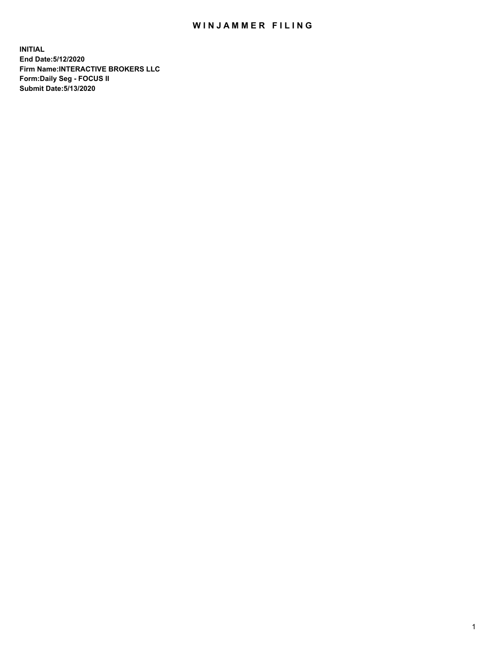## WIN JAMMER FILING

**INITIAL End Date:5/12/2020 Firm Name:INTERACTIVE BROKERS LLC Form:Daily Seg - FOCUS II Submit Date:5/13/2020**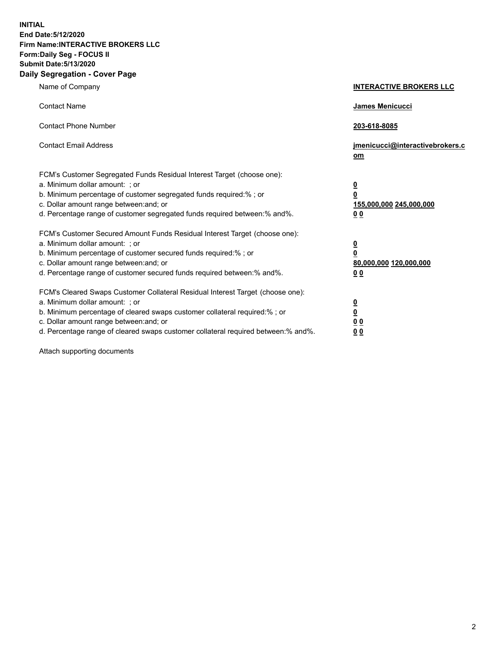**INITIAL End Date:5/12/2020 Firm Name:INTERACTIVE BROKERS LLC Form:Daily Seg - FOCUS II Submit Date:5/13/2020 Daily Segregation - Cover Page**

| Name of Company                                                                                                                                                                                                                                                                                                                | <b>INTERACTIVE BROKERS LLC</b>                                                   |
|--------------------------------------------------------------------------------------------------------------------------------------------------------------------------------------------------------------------------------------------------------------------------------------------------------------------------------|----------------------------------------------------------------------------------|
| <b>Contact Name</b>                                                                                                                                                                                                                                                                                                            | James Menicucci                                                                  |
| <b>Contact Phone Number</b>                                                                                                                                                                                                                                                                                                    | 203-618-8085                                                                     |
| <b>Contact Email Address</b>                                                                                                                                                                                                                                                                                                   | jmenicucci@interactivebrokers.c<br>om                                            |
| FCM's Customer Segregated Funds Residual Interest Target (choose one):<br>a. Minimum dollar amount: ; or<br>b. Minimum percentage of customer segregated funds required:% ; or<br>c. Dollar amount range between: and; or<br>d. Percentage range of customer segregated funds required between:% and%.                         | <u>0</u><br>$\overline{\mathbf{0}}$<br>155,000,000 245,000,000<br>0 <sub>0</sub> |
| FCM's Customer Secured Amount Funds Residual Interest Target (choose one):<br>a. Minimum dollar amount: ; or<br>b. Minimum percentage of customer secured funds required:% ; or<br>c. Dollar amount range between: and; or<br>d. Percentage range of customer secured funds required between:% and%.                           | <u>0</u><br>$\overline{\mathbf{0}}$<br>80,000,000 120,000,000<br>0 <sub>0</sub>  |
| FCM's Cleared Swaps Customer Collateral Residual Interest Target (choose one):<br>a. Minimum dollar amount: ; or<br>b. Minimum percentage of cleared swaps customer collateral required:% ; or<br>c. Dollar amount range between: and; or<br>d. Percentage range of cleared swaps customer collateral required between:% and%. | <u>0</u><br>$\underline{\mathbf{0}}$<br>0 <sub>0</sub><br>0 <sub>0</sub>         |

Attach supporting documents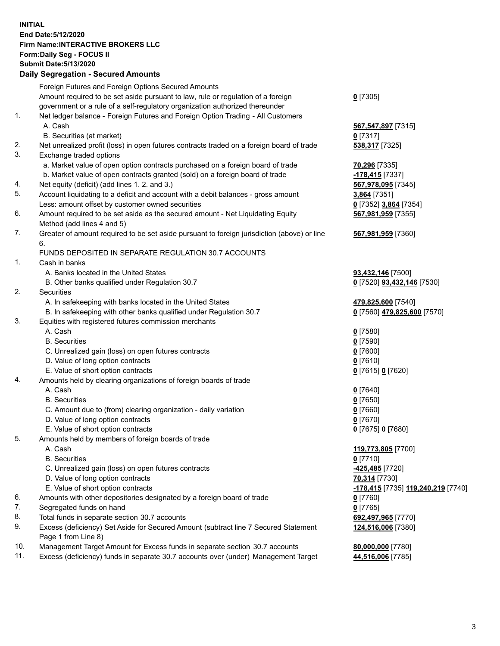**INITIAL End Date:5/12/2020 Firm Name:INTERACTIVE BROKERS LLC Form:Daily Seg - FOCUS II Submit Date:5/13/2020 Daily Segregation - Secured Amounts**

|                | Daily Ocglegation - Occuled Anioants                                                                       |                                                        |
|----------------|------------------------------------------------------------------------------------------------------------|--------------------------------------------------------|
|                | Foreign Futures and Foreign Options Secured Amounts                                                        |                                                        |
|                | Amount required to be set aside pursuant to law, rule or regulation of a foreign                           | $0$ [7305]                                             |
|                | government or a rule of a self-regulatory organization authorized thereunder                               |                                                        |
| 1.             | Net ledger balance - Foreign Futures and Foreign Option Trading - All Customers                            |                                                        |
|                | A. Cash                                                                                                    | 567, 547, 897 [7315]                                   |
|                | B. Securities (at market)                                                                                  | $0$ [7317]                                             |
| 2.             | Net unrealized profit (loss) in open futures contracts traded on a foreign board of trade                  | 538,317 [7325]                                         |
| 3.             | Exchange traded options                                                                                    |                                                        |
|                | a. Market value of open option contracts purchased on a foreign board of trade                             | 70,296 [7335]                                          |
|                | b. Market value of open contracts granted (sold) on a foreign board of trade                               | -178,415 [7337]                                        |
| 4.             | Net equity (deficit) (add lines 1. 2. and 3.)                                                              | 567,978,095 [7345]                                     |
| 5.             | Account liquidating to a deficit and account with a debit balances - gross amount                          | 3,864 [7351]                                           |
|                | Less: amount offset by customer owned securities                                                           | 0 [7352] 3,864 [7354]                                  |
| 6.             | Amount required to be set aside as the secured amount - Net Liquidating Equity                             | 567,981,959 [7355]                                     |
|                | Method (add lines 4 and 5)                                                                                 |                                                        |
| 7.             | Greater of amount required to be set aside pursuant to foreign jurisdiction (above) or line                | 567,981,959 [7360]                                     |
|                | 6.                                                                                                         |                                                        |
|                | FUNDS DEPOSITED IN SEPARATE REGULATION 30.7 ACCOUNTS                                                       |                                                        |
| $\mathbf{1}$ . | Cash in banks                                                                                              |                                                        |
|                | A. Banks located in the United States                                                                      | 93,432,146 [7500]                                      |
|                | B. Other banks qualified under Regulation 30.7                                                             | 0 [7520] 93,432,146 [7530]                             |
| 2.             | Securities                                                                                                 |                                                        |
|                | A. In safekeeping with banks located in the United States                                                  | 479,825,600 [7540]                                     |
|                | B. In safekeeping with other banks qualified under Regulation 30.7                                         | 0 [7560] 479,825,600 [7570]                            |
| 3.             | Equities with registered futures commission merchants                                                      |                                                        |
|                | A. Cash                                                                                                    | $0$ [7580]                                             |
|                | <b>B.</b> Securities                                                                                       | $0$ [7590]                                             |
|                | C. Unrealized gain (loss) on open futures contracts                                                        | $0$ [7600]                                             |
|                | D. Value of long option contracts                                                                          | $Q$ [7610]                                             |
|                | E. Value of short option contracts                                                                         | 0 [7615] 0 [7620]                                      |
| 4.             | Amounts held by clearing organizations of foreign boards of trade                                          |                                                        |
|                | A. Cash                                                                                                    | $0$ [7640]                                             |
|                | <b>B.</b> Securities                                                                                       | $0$ [7650]                                             |
|                | C. Amount due to (from) clearing organization - daily variation                                            | $0$ [7660]                                             |
|                | D. Value of long option contracts                                                                          | $0$ [7670]                                             |
|                | E. Value of short option contracts                                                                         | 0 [7675] 0 [7680]                                      |
| 5.             | Amounts held by members of foreign boards of trade                                                         |                                                        |
|                | A. Cash                                                                                                    | 119,773,805 [7700]                                     |
|                | <b>B.</b> Securities                                                                                       | $0$ [7710]                                             |
|                | C. Unrealized gain (loss) on open futures contracts                                                        | -425,485 [7720]                                        |
|                | D. Value of long option contracts                                                                          | 70,314 [7730]                                          |
|                | E. Value of short option contracts                                                                         | <mark>-178,415</mark> [7735] <u>119,240,219</u> [7740] |
| 6.             | Amounts with other depositories designated by a foreign board of trade                                     | 0 [7760]                                               |
| 7.             | Segregated funds on hand                                                                                   | $0$ [7765]                                             |
| 8.             | Total funds in separate section 30.7 accounts                                                              | 692,497,965 [7770]                                     |
| 9.             | Excess (deficiency) Set Aside for Secured Amount (subtract line 7 Secured Statement<br>Page 1 from Line 8) | 124,516,006 [7380]                                     |
| 10.            | Management Target Amount for Excess funds in separate section 30.7 accounts                                | 80,000,000 [7780]                                      |
| 11.            | Excess (deficiency) funds in separate 30.7 accounts over (under) Management Target                         | 44,516,006 [7785]                                      |
|                |                                                                                                            |                                                        |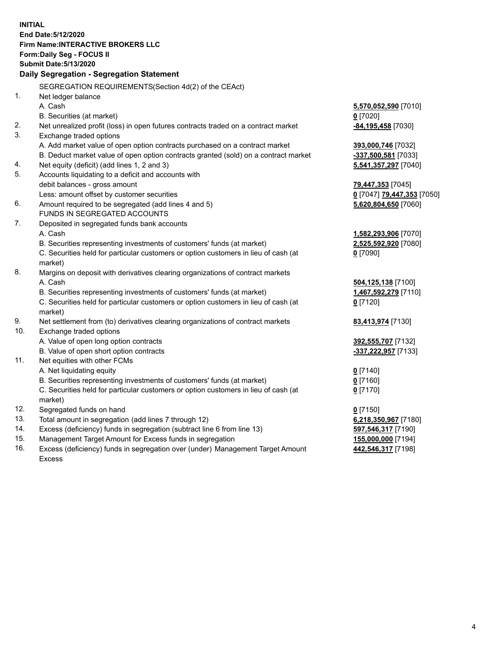**INITIAL End Date:5/12/2020 Firm Name:INTERACTIVE BROKERS LLC Form:Daily Seg - FOCUS II Submit Date:5/13/2020 Daily Segregation - Segregation Statement** SEGREGATION REQUIREMENTS(Section 4d(2) of the CEAct) 1. Net ledger balance A. Cash **5,570,052,590** [7010] B. Securities (at market) **0** [7020] 2. Net unrealized profit (loss) in open futures contracts traded on a contract market **-84,195,458** [7030] 3. Exchange traded options A. Add market value of open option contracts purchased on a contract market **393,000,746** [7032] B. Deduct market value of open option contracts granted (sold) on a contract market **-337,500,581** [7033] 4. Net equity (deficit) (add lines 1, 2 and 3) **5,541,357,297** [7040] 5. Accounts liquidating to a deficit and accounts with debit balances - gross amount **79,447,353** [7045] Less: amount offset by customer securities **0** [7047] **79,447,353** [7050] 6. Amount required to be segregated (add lines 4 and 5) **5,620,804,650** [7060] FUNDS IN SEGREGATED ACCOUNTS 7. Deposited in segregated funds bank accounts A. Cash **1,582,293,906** [7070] B. Securities representing investments of customers' funds (at market) **2,525,592,920** [7080] C. Securities held for particular customers or option customers in lieu of cash (at market) **0** [7090] 8. Margins on deposit with derivatives clearing organizations of contract markets A. Cash **504,125,138** [7100] B. Securities representing investments of customers' funds (at market) **1,467,592,279** [7110] C. Securities held for particular customers or option customers in lieu of cash (at market) **0** [7120] 9. Net settlement from (to) derivatives clearing organizations of contract markets **83,413,974** [7130] 10. Exchange traded options A. Value of open long option contracts **392,555,707** [7132] B. Value of open short option contracts **-337,222,957** [7133] 11. Net equities with other FCMs A. Net liquidating equity **0** [7140] B. Securities representing investments of customers' funds (at market) **0** [7160] C. Securities held for particular customers or option customers in lieu of cash (at market) **0** [7170] 12. Segregated funds on hand **0** [7150] 13. Total amount in segregation (add lines 7 through 12) **6,218,350,967** [7180] 14. Excess (deficiency) funds in segregation (subtract line 6 from line 13) **597,546,317** [7190] 15. Management Target Amount for Excess funds in segregation **155,000,000** [7194] 16. Excess (deficiency) funds in segregation over (under) Management Target Amount Excess **442,546,317** [7198]